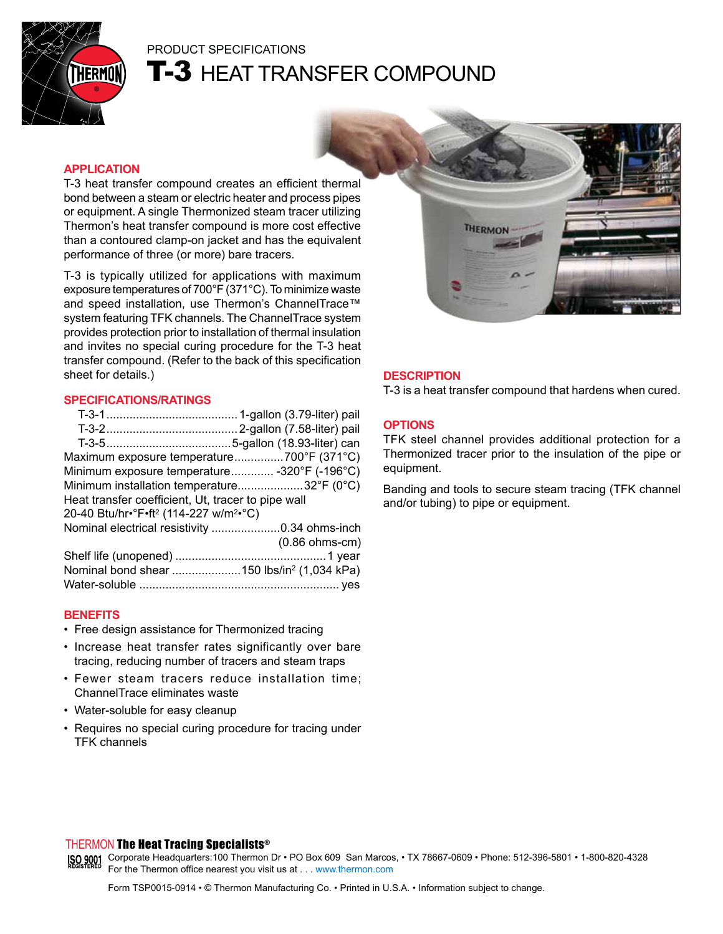

# PRODUCT SPECIFICATIONS **T-3 HEAT TRANSFER COMPOUND**

# **APPLICATION**

T-3 heat transfer compound creates an efficient thermal bond between a steam or electric heater and process pipes or equipment. A single Thermonized steam tracer utilizing Thermon's heat transfer compound is more cost effective than a contoured clamp-on jacket and has the equivalent performance of three (or more) bare tracers.

T-3 is typically utilized for applications with maximum exposure temperatures of 700°F (371°C). To minimize waste and speed installation, use Thermon's ChannelTrace™ system featuring TFK channels. The ChannelTrace system provides protection prior to installation of thermal insulation and invites no special curing procedure for the T-3 heat transfer compound. (Refer to the back of this specification sheet for details.)

#### **SPECIFICATIONS/RATINGS**

#### **BENEFITS**

- Free design assistance for Thermonized tracing
- Increase heat transfer rates significantly over bare tracing, reducing number of tracers and steam traps
- Fewer steam tracers reduce installation time; ChannelTrace eliminates waste
- Water-soluble for easy cleanup
- Requires no special curing procedure for tracing under TFK channels



## **DESCRIPTION**

T-3 is a heat transfer compound that hardens when cured.

#### **OPTIONS**

TFK steel channel provides additional protection for a Thermonized tracer prior to the insulation of the pipe or equipment.

Banding and tools to secure steam tracing (TFK channel and/or tubing) to pipe or equipment.

## THERMON The Heat Tracing Specialists®

Corporate Headquarters:100 Thermon Dr • PO Box 609 San Marcos, • TX 78667-0609 • Phone: 512-396-5801 • 1-800-820-4328 For the Thermon office nearest you visit us at . . . www.thermon.com